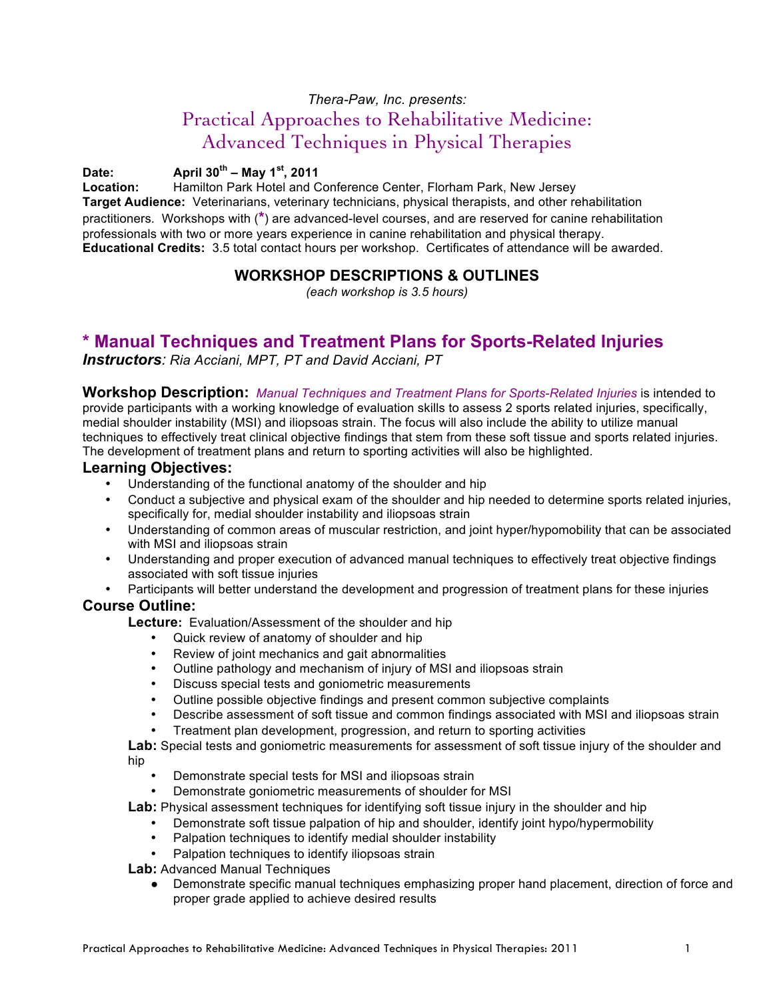### *Thera-Paw, Inc. presents:*

# Practical Approaches to Rehabilitative Medicine: Advanced Techniques in Physical Therapies

## **Date: April 30th – May 1st, 2011**

**Location:** Hamilton Park Hotel and Conference Center, Florham Park, New Jersey **Target Audience:** Veterinarians, veterinary technicians, physical therapists, and other rehabilitation practitioners. Workshops with (**\***) are advanced-level courses, and are reserved for canine rehabilitation professionals with two or more years experience in canine rehabilitation and physical therapy. **Educational Credits:** 3.5 total contact hours per workshop. Certificates of attendance will be awarded.

## **WORKSHOP DESCRIPTIONS & OUTLINES**

*(each workshop is 3.5 hours)*

## **\* Manual Techniques and Treatment Plans for Sports-Related Injuries**

*Instructors: Ria Acciani, MPT, PT and David Acciani, PT*

**Workshop Description:** *Manual Techniques and Treatment Plans for Sports-Related Injuries* is intended to provide participants with a working knowledge of evaluation skills to assess 2 sports related injuries, specifically, medial shoulder instability (MSI) and iliopsoas strain. The focus will also include the ability to utilize manual techniques to effectively treat clinical objective findings that stem from these soft tissue and sports related injuries. The development of treatment plans and return to sporting activities will also be highlighted.

### **Learning Objectives:**

- Understanding of the functional anatomy of the shoulder and hip<br>• Conduct a subjective and physical exam of the shoulder and hip
- Conduct a subjective and physical exam of the shoulder and hip needed to determine sports related injuries, specifically for, medial shoulder instability and iliopsoas strain
- Understanding of common areas of muscular restriction, and joint hyper/hypomobility that can be associated with MSI and iliopsoas strain
- Understanding and proper execution of advanced manual techniques to effectively treat objective findings associated with soft tissue injuries
- Participants will better understand the development and progression of treatment plans for these injuries

### **Course Outline:**

**Lecture:** Evaluation/Assessment of the shoulder and hip

- Quick review of anatomy of shoulder and hip
- Review of joint mechanics and gait abnormalities
- Outline pathology and mechanism of injury of MSI and iliopsoas strain
- Discuss special tests and goniometric measurements
- Outline possible objective findings and present common subjective complaints
- Describe assessment of soft tissue and common findings associated with MSI and iliopsoas strain
- Treatment plan development, progression, and return to sporting activities

**Lab:** Special tests and goniometric measurements for assessment of soft tissue injury of the shoulder and hip

- Demonstrate special tests for MSI and iliopsoas strain
- Demonstrate goniometric measurements of shoulder for MSI

**Lab:** Physical assessment techniques for identifying soft tissue injury in the shoulder and hip

- Demonstrate soft tissue palpation of hip and shoulder, identify joint hypo/hypermobility
	- Palpation techniques to identify medial shoulder instability
- Palpation techniques to identify iliopsoas strain

**Lab:** Advanced Manual Techniques

Demonstrate specific manual techniques emphasizing proper hand placement, direction of force and proper grade applied to achieve desired results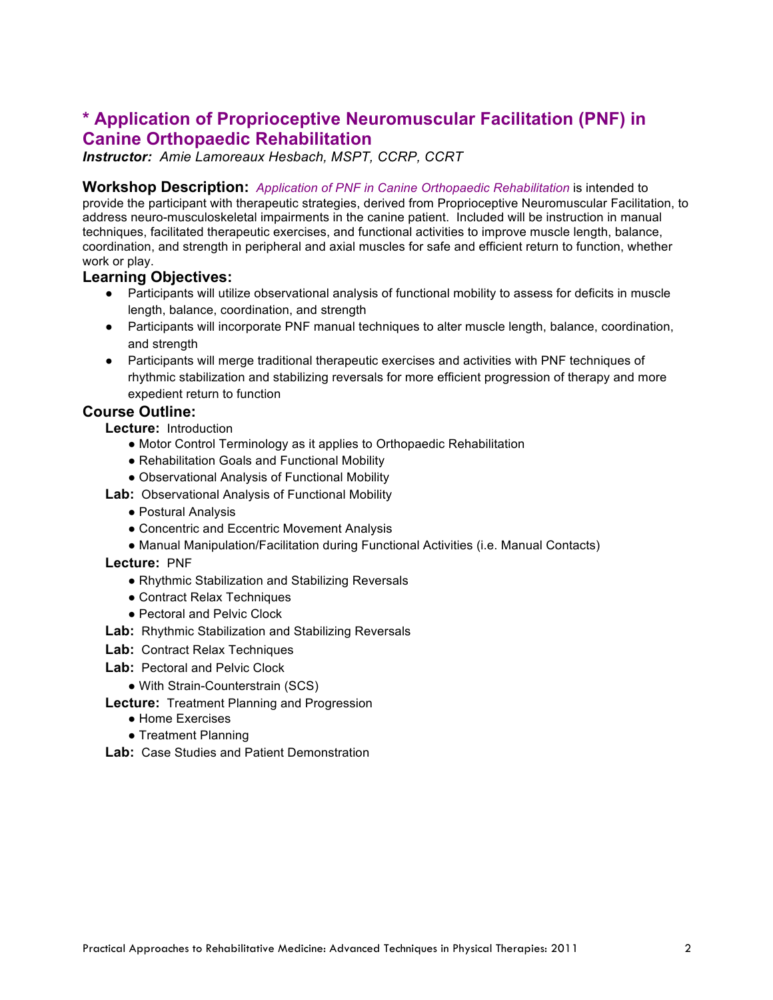# **\* Application of Proprioceptive Neuromuscular Facilitation (PNF) in Canine Orthopaedic Rehabilitation**

*Instructor: Amie Lamoreaux Hesbach, MSPT, CCRP, CCRT*

**Workshop Description:** *Application of PNF in Canine Orthopaedic Rehabilitation* is intended to provide the participant with therapeutic strategies, derived from Proprioceptive Neuromuscular Facilitation, to address neuro-musculoskeletal impairments in the canine patient. Included will be instruction in manual techniques, facilitated therapeutic exercises, and functional activities to improve muscle length, balance, coordination, and strength in peripheral and axial muscles for safe and efficient return to function, whether work or play.

### **Learning Objectives:**

- Participants will utilize observational analysis of functional mobility to assess for deficits in muscle length, balance, coordination, and strength
- Participants will incorporate PNF manual techniques to alter muscle length, balance, coordination, and strength
- Participants will merge traditional therapeutic exercises and activities with PNF techniques of rhythmic stabilization and stabilizing reversals for more efficient progression of therapy and more expedient return to function

### **Course Outline:**

**Lecture:** Introduction

- Motor Control Terminology as it applies to Orthopaedic Rehabilitation
- Rehabilitation Goals and Functional Mobility
- Observational Analysis of Functional Mobility
- **Lab:** Observational Analysis of Functional Mobility
	- Postural Analysis
	- Concentric and Eccentric Movement Analysis
	- Manual Manipulation/Facilitation during Functional Activities (i.e. Manual Contacts)

#### **Lecture:** PNF

- Rhythmic Stabilization and Stabilizing Reversals
- Contract Relax Techniques
- Pectoral and Pelvic Clock
- **Lab:** Rhythmic Stabilization and Stabilizing Reversals
- **Lab:** Contract Relax Techniques
- **Lab:** Pectoral and Pelvic Clock
	- With Strain-Counterstrain (SCS)
- **Lecture:** Treatment Planning and Progression
	- Home Exercises
	- Treatment Planning
- **Lab:** Case Studies and Patient Demonstration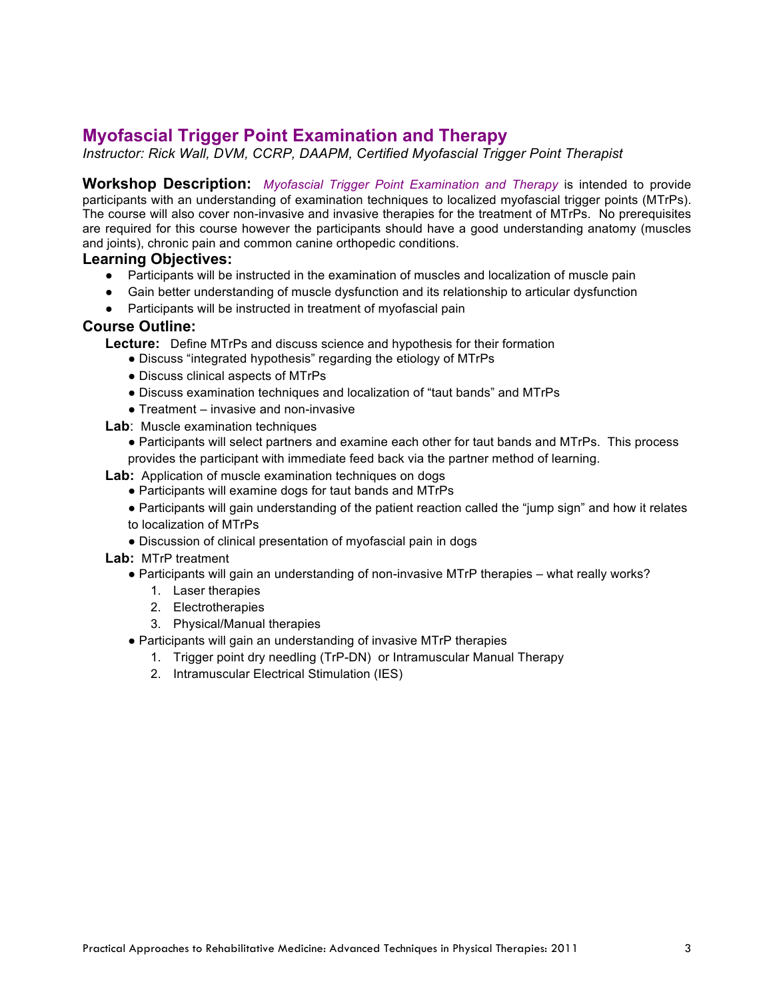# **Myofascial Trigger Point Examination and Therapy**

*Instructor: Rick Wall, DVM, CCRP, DAAPM, Certified Myofascial Trigger Point Therapist*

**Workshop Description:** *Myofascial Trigger Point Examination and Therapy* is intended to provide participants with an understanding of examination techniques to localized myofascial trigger points (MTrPs). The course will also cover non-invasive and invasive therapies for the treatment of MTrPs. No prerequisites are required for this course however the participants should have a good understanding anatomy (muscles and joints), chronic pain and common canine orthopedic conditions.

#### **Learning Objectives:**

- Participants will be instructed in the examination of muscles and localization of muscle pain
- Gain better understanding of muscle dysfunction and its relationship to articular dysfunction
- Participants will be instructed in treatment of myofascial pain

#### **Course Outline:**

**Lecture:** Define MTrPs and discuss science and hypothesis for their formation

- Discuss "integrated hypothesis" regarding the etiology of MTrPs
- Discuss clinical aspects of MTrPs
- Discuss examination techniques and localization of "taut bands" and MTrPs
- $\bullet$  Treatment invasive and non-invasive
- **Lab:** Muscle examination techniques
	- Participants will select partners and examine each other for taut bands and MTrPs. This process provides the participant with immediate feed back via the partner method of learning.
- **Lab:** Application of muscle examination techniques on dogs
	- Participants will examine dogs for taut bands and MTrPs
	- Participants will gain understanding of the patient reaction called the "jump sign" and how it relates to localization of MTrPs
	- Discussion of clinical presentation of myofascial pain in dogs
- **Lab:** MTrP treatment
	- Participants will gain an understanding of non-invasive MTrP therapies what really works?
		- 1. Laser therapies
		- 2. Electrotherapies
		- 3. Physical/Manual therapies
	- Participants will gain an understanding of invasive MTrP therapies
		- 1. Trigger point dry needling (TrP-DN) or Intramuscular Manual Therapy
		- 2. Intramuscular Electrical Stimulation (IES)